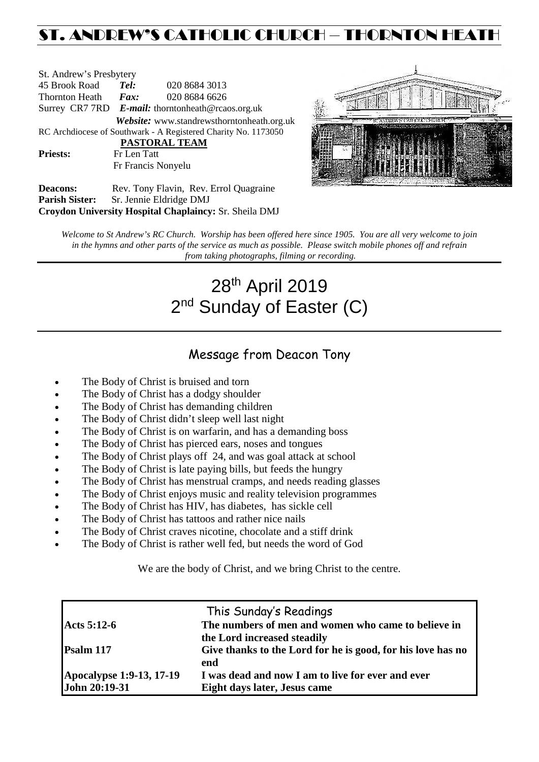# ST. ANDREW'S CATHOLIC CHURCH – THORNTON HEATH

St. Andrew's Presbytery<br>45 Brook Road Tel: 45 Brook Road *Tel:* 020 8684 3013 Thornton Heath *Fax:* 020 8684 6626 Surrey CR7 7RD *E-mail:* [thorntonheath@rcaos.org.uk](mailto:thorntonheath@rcaos.org.uk) *Website:* www.standrewsthorntonheath.org.uk RC Archdiocese of Southwark - A Registered Charity No. 1173050  **PASTORAL TEAM** Priests: Fr Len Tatt Fr Francis Nonyelu



**Deacons:** Rev. Tony Flavin, Rev. Errol Quagraine<br> **Parish Sister:** Sr. Jennie Eldridge DMJ **Sr. Jennie Eldridge DMJ Croydon University Hospital Chaplaincy:** Sr. Sheila DMJ

*Welcome to St Andrew's RC Church. Worship has been offered here since 1905. You are all very welcome to join in the hymns and other parts of the service as much as possible. Please switch mobile phones off and refrain from taking photographs, filming or recording.*

# 28th April 2019 2<sup>nd</sup> Sunday of Easter (C)

# Message from Deacon Tony

- The Body of Christ is bruised and torn
- The Body of Christ has a dodgy shoulder
- The Body of Christ has demanding children
- The Body of Christ didn't sleep well last night
- The Body of Christ is on warfarin, and has a demanding boss
- The Body of Christ has pierced ears, noses and tongues
- The Body of Christ plays off 24, and was goal attack at school
- The Body of Christ is late paying bills, but feeds the hungry
- The Body of Christ has menstrual cramps, and needs reading glasses
- The Body of Christ enjoys music and reality television programmes
- The Body of Christ has HIV, has diabetes, has sickle cell
- The Body of Christ has tattoos and rather nice nails
- The Body of Christ craves nicotine, chocolate and a stiff drink
- The Body of Christ is rather well fed, but needs the word of God

We are the body of Christ, and we bring Christ to the centre.

|                          | This Sunday's Readings                                      |
|--------------------------|-------------------------------------------------------------|
| Acts 5:12-6              | The numbers of men and women who came to believe in         |
|                          | the Lord increased steadily                                 |
| Psalm 117                | Give thanks to the Lord for he is good, for his love has no |
|                          | end                                                         |
| Apocalypse 1:9-13, 17-19 | I was dead and now I am to live for ever and ever           |
| John 20:19-31            | Eight days later, Jesus came                                |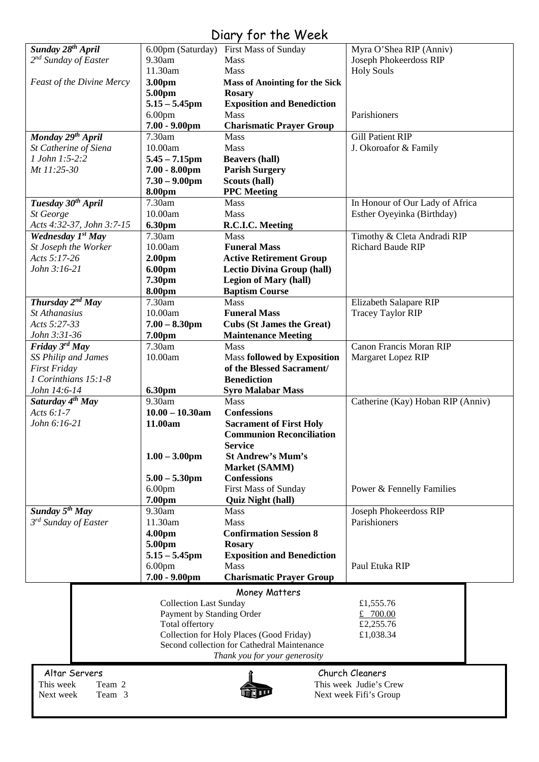# Diary for the Week

|                                  |                               | $1 - 1$                                     |                                   |
|----------------------------------|-------------------------------|---------------------------------------------|-----------------------------------|
| Sunday 28 <sup>th</sup> April    |                               | 6.00pm (Saturday) First Mass of Sunday      | Myra O'Shea RIP (Anniv)           |
| $2^{nd}$ Sunday of Easter        | 9.30am                        | <b>Mass</b>                                 | Joseph Phokeerdoss RIP            |
|                                  | 11.30am                       | Mass                                        | <b>Holy Souls</b>                 |
| <b>Feast of the Divine Mercy</b> | 3.00pm                        | <b>Mass of Anointing for the Sick</b>       |                                   |
|                                  | 5.00pm                        | <b>Rosary</b>                               |                                   |
|                                  | $5.15 - 5.45$ pm              | <b>Exposition and Benediction</b>           |                                   |
|                                  | 6.00 <sub>pm</sub>            | Mass                                        | Parishioners                      |
|                                  | $7.00 - 9.00$ pm              | <b>Charismatic Prayer Group</b>             |                                   |
| Monday 29 <sup>th</sup> April    | 7.30am                        | Mass                                        | Gill Patient RIP                  |
| St Catherine of Siena            | 10.00am                       | Mass                                        | J. Okoroafor & Family             |
|                                  |                               |                                             |                                   |
| 1 John 1:5-2:2                   | $5.45 - 7.15$ pm              | <b>Beavers (hall)</b>                       |                                   |
| Mt 11:25-30                      | $7.00 - 8.00$ pm              | <b>Parish Surgery</b>                       |                                   |
|                                  | $7.30 - 9.00$ pm              | Scouts (hall)                               |                                   |
|                                  | 8.00pm                        | <b>PPC</b> Meeting                          |                                   |
| Tuesday 30 <sup>th</sup> April   | 7.30am                        | Mass                                        | In Honour of Our Lady of Africa   |
| St George                        | 10.00am                       | <b>Mass</b>                                 | Esther Oyeyinka (Birthday)        |
| Acts 4:32-37, John 3:7-15        | 6.30pm                        | R.C.I.C. Meeting                            |                                   |
| Wednesday 1st May                | 7.30am                        | <b>Mass</b>                                 | Timothy & Cleta Andradi RIP       |
| St Joseph the Worker             | 10.00am                       | <b>Funeral Mass</b>                         | <b>Richard Baude RIP</b>          |
| Acts $5:17-26$                   | 2.00 <sub>pm</sub>            | <b>Active Retirement Group</b>              |                                   |
| John 3:16-21                     | 6.00pm                        | <b>Lectio Divina Group (hall)</b>           |                                   |
|                                  | 7.30pm                        | <b>Legion of Mary (hall)</b>                |                                   |
|                                  | 8.00pm                        | <b>Baptism Course</b>                       |                                   |
|                                  |                               |                                             |                                   |
| Thursday $2^{nd}$ May            | 7.30am                        | <b>Mass</b>                                 | <b>Elizabeth Salapare RIP</b>     |
| St Athanasius                    | 10.00am                       | <b>Funeral Mass</b>                         | <b>Tracey Taylor RIP</b>          |
| Acts 5:27-33                     | $7.00 - 8.30$ pm              | <b>Cubs (St James the Great)</b>            |                                   |
| John 3:31-36                     | 7.00pm                        | <b>Maintenance Meeting</b>                  |                                   |
| Friday $3^{rd}$ May              | 7.30am                        | Mass                                        | Canon Francis Moran RIP           |
| SS Philip and James              | 10.00am                       | <b>Mass followed by Exposition</b>          | Margaret Lopez RIP                |
| <b>First Friday</b>              |                               | of the Blessed Sacrament/                   |                                   |
| 1 Corinthians 15:1-8             |                               | <b>Benediction</b>                          |                                   |
| John 14:6-14                     | 6.30pm                        | <b>Syro Malabar Mass</b>                    |                                   |
| Saturday 4 <sup>th</sup> May     | 9.30am                        | Mass                                        | Catherine (Kay) Hoban RIP (Anniv) |
| Acts $6:1-7$                     | $10.00 - 10.30$ am            | <b>Confessions</b>                          |                                   |
| John 6:16-21                     | 11.00am                       | <b>Sacrament of First Holy</b>              |                                   |
|                                  |                               | <b>Communion Reconciliation</b>             |                                   |
|                                  |                               |                                             |                                   |
|                                  |                               | <b>Service</b>                              |                                   |
|                                  | $1.00 - 3.00$ pm              | <b>St Andrew's Mum's</b>                    |                                   |
|                                  |                               | <b>Market (SAMM)</b>                        |                                   |
|                                  | $5.00 - 5.30$ pm              | <b>Confessions</b>                          |                                   |
|                                  | 6.00 <sub>pm</sub>            | <b>First Mass of Sunday</b>                 | Power & Fennelly Families         |
|                                  | 7.00pm                        | <b>Quiz Night (hall)</b>                    |                                   |
| Sunday $5^{th}$ May              | 9.30am                        | Mass                                        | Joseph Phokeerdoss RIP            |
| 3 <sup>rd</sup> Sunday of Easter | 11.30am                       | Mass                                        | Parishioners                      |
|                                  | 4.00pm                        | <b>Confirmation Session 8</b>               |                                   |
|                                  | 5.00pm                        | <b>Rosary</b>                               |                                   |
|                                  |                               |                                             |                                   |
|                                  |                               |                                             |                                   |
|                                  | $5.15 - 5.45$ pm              | <b>Exposition and Benediction</b>           |                                   |
|                                  | 6.00 <sub>pm</sub>            | Mass                                        | Paul Etuka RIP                    |
|                                  | $7.00 - 9.00$ pm              | <b>Charismatic Prayer Group</b>             |                                   |
|                                  |                               | Money Matters                               |                                   |
|                                  | <b>Collection Last Sunday</b> |                                             | £1,555.76                         |
|                                  | Payment by Standing Order     |                                             | £ $700.00$                        |
|                                  | Total offertory               |                                             | £2,255.76                         |
|                                  |                               |                                             | £1,038.34                         |
|                                  |                               | Collection for Holy Places (Good Friday)    |                                   |
|                                  |                               | Second collection for Cathedral Maintenance |                                   |
|                                  |                               | Thank you for your generosity               |                                   |
| Altar Servers                    |                               |                                             | Church Cleaners                   |
| This week<br>Team 2              |                               |                                             | This week Judie's Crew            |
| Next week<br>Team 3              |                               |                                             | Next week Fifi's Group            |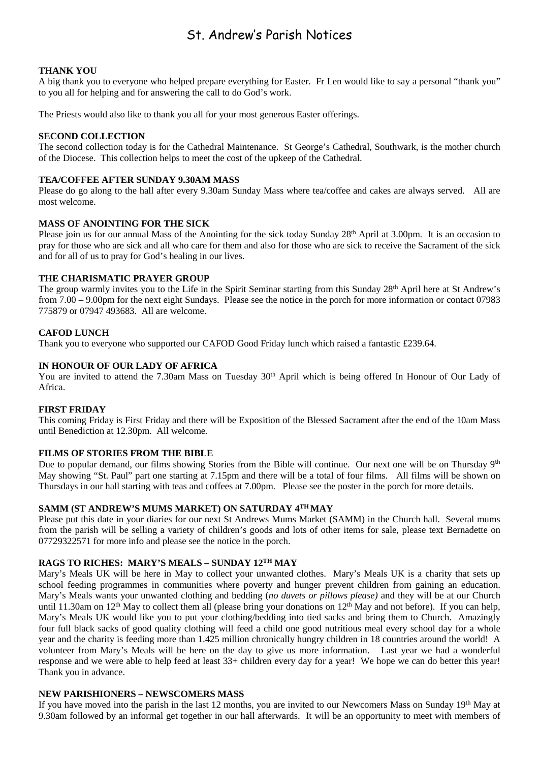# St. Andrew's Parish Notices

## **THANK YOU**

A big thank you to everyone who helped prepare everything for Easter. Fr Len would like to say a personal "thank you" to you all for helping and for answering the call to do God's work.

The Priests would also like to thank you all for your most generous Easter offerings.

#### **SECOND COLLECTION**

The second collection today is for the Cathedral Maintenance. St George's Cathedral, Southwark, is the mother church of the Diocese. This collection helps to meet the cost of the upkeep of the Cathedral.

#### **TEA/COFFEE AFTER SUNDAY 9.30AM MASS**

Please do go along to the hall after every 9.30am Sunday Mass where tea/coffee and cakes are always served. All are most welcome.

#### **MASS OF ANOINTING FOR THE SICK**

Please join us for our annual Mass of the Anointing for the sick today Sunday 28<sup>th</sup> April at 3.00pm. It is an occasion to pray for those who are sick and all who care for them and also for those who are sick to receive the Sacrament of the sick and for all of us to pray for God's healing in our lives.

#### **THE CHARISMATIC PRAYER GROUP**

The group warmly invites you to the Life in the Spirit Seminar starting from this Sunday 28<sup>th</sup> April here at St Andrew's from 7.00 – 9.00pm for the next eight Sundays. Please see the notice in the porch for more information or contact 07983 775879 or 07947 493683. All are welcome.

#### **CAFOD LUNCH**

Thank you to everyone who supported our CAFOD Good Friday lunch which raised a fantastic £239.64.

#### **IN HONOUR OF OUR LADY OF AFRICA**

You are invited to attend the 7.30am Mass on Tuesday 30<sup>th</sup> April which is being offered In Honour of Our Lady of Africa.

#### **FIRST FRIDAY**

This coming Friday is First Friday and there will be Exposition of the Blessed Sacrament after the end of the 10am Mass until Benediction at 12.30pm. All welcome.

#### **FILMS OF STORIES FROM THE BIBLE**

Due to popular demand, our films showing Stories from the Bible will continue. Our next one will be on Thursday 9<sup>th</sup> May showing "St. Paul" part one starting at 7.15pm and there will be a total of four films. All films will be shown on Thursdays in our hall starting with teas and coffees at 7.00pm. Please see the poster in the porch for more details.

# **SAMM (ST ANDREW'S MUMS MARKET) ON SATURDAY 4TH MAY**

Please put this date in your diaries for our next St Andrews Mums Market (SAMM) in the Church hall. Several mums from the parish will be selling a variety of children's goods and lots of other items for sale, please text Bernadette on 07729322571 for more info and please see the notice in the porch.

# **RAGS TO RICHES: MARY'S MEALS – SUNDAY 12TH MAY**

Mary's Meals UK will be here in May to collect your unwanted clothes. Mary's Meals UK is a charity that sets up school feeding programmes in communities where poverty and hunger prevent children from gaining an education. Mary's Meals wants your unwanted clothing and bedding (*no duvets or pillows please)* and they will be at our Church until 11.30am on  $12<sup>th</sup>$  May to collect them all (please bring your donations on  $12<sup>th</sup>$  May and not before). If you can help, Mary's Meals UK would like you to put your clothing/bedding into tied sacks and bring them to Church. Amazingly four full black sacks of good quality clothing will feed a child one good nutritious meal every school day for a whole year and the charity is feeding more than 1.425 million chronically hungry children in 18 countries around the world! A volunteer from Mary's Meals will be here on the day to give us more information. Last year we had a wonderful response and we were able to help feed at least 33+ children every day for a year! We hope we can do better this year! Thank you in advance.

## **NEW PARISHIONERS – NEWSCOMERS MASS**

If you have moved into the parish in the last 12 months, you are invited to our Newcomers Mass on Sunday 19th May at 9.30am followed by an informal get together in our hall afterwards. It will be an opportunity to meet with members of